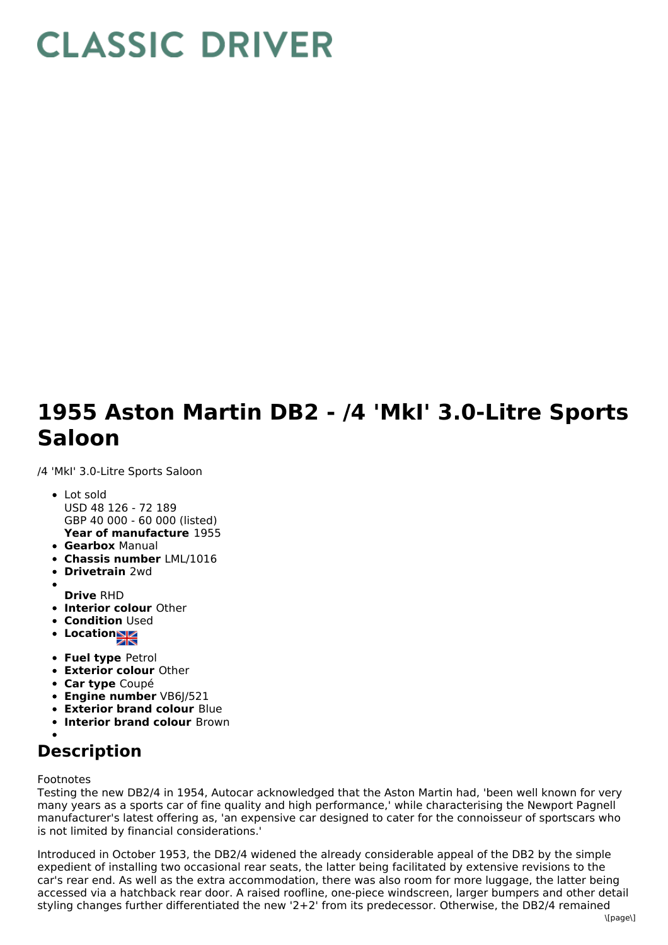## **CLASSIC DRIVER**

## **1955 Aston Martin DB2 - /4 'MkI' 3.0-Litre Sports Saloon**

/4 'MkI' 3.0-Litre Sports Saloon

- **Year of manufacture** 1955 Lot sold USD 48 126 - 72 189 GBP 40 000 - 60 000 (listed)
- **Gearbox** Manual
- **Chassis number** LML/1016
- **Drivetrain** 2wd
- **Drive** RHD
- **Interior colour** Other
- **Condition Used**
- Location
- **Fuel type** Petrol
- **Exterior colour** Other
- **Car type** Coupé
- **Engine number** VB6J/521
- **Exterior brand colour** Blue
- **Interior brand colour** Brown

## **Description**

Footnotes

Testing the new DB2/4 in 1954, Autocar acknowledged that the Aston Martin had, 'been well known for very many years as a sports car of fine quality and high performance,' while characterising the Newport Pagnell manufacturer's latest offering as, 'an expensive car designed to cater for the connoisseur of sportscars who is not limited by financial considerations.'

Introduced in October 1953, the DB2/4 widened the already considerable appeal of the DB2 by the simple expedient of installing two occasional rear seats, the latter being facilitated by extensive revisions to the car's rear end. As well as the extra accommodation, there was also room for more luggage, the latter being accessed via a hatchback rear door. A raised roofline, one-piece windscreen, larger bumpers and other detail styling changes further differentiated the new '2+2' from its predecessor. Otherwise, the DB2/4 remained